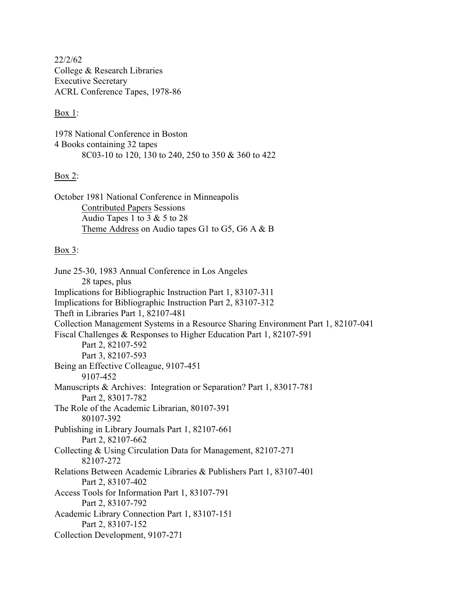22/2/62 College & Research Libraries Executive Secretary ACRL Conference Tapes, 1978-86

## Box 1:

1978 National Conference in Boston 4 Books containing 32 tapes 8C03-10 to 120, 130 to 240, 250 to 350 & 360 to 422

# Box 2:

October 1981 National Conference in Minneapolis Contributed Papers Sessions Audio Tapes 1 to 3 & 5 to 28 Theme Address on Audio tapes G1 to G5, G6 A & B

# Box 3:

June 25-30, 1983 Annual Conference in Los Angeles 28 tapes, plus Implications for Bibliographic Instruction Part 1, 83107-311 Implications for Bibliographic Instruction Part 2, 83107-312 Theft in Libraries Part 1, 82107-481 Collection Management Systems in a Resource Sharing Environment Part 1, 82107-041 Fiscal Challenges & Responses to Higher Education Part 1, 82107-591 Part 2, 82107-592 Part 3, 82107-593 Being an Effective Colleague, 9107-451 9107-452 Manuscripts & Archives: Integration or Separation? Part 1, 83017-781 Part 2, 83017-782 The Role of the Academic Librarian, 80107-391 80107-392 Publishing in Library Journals Part 1, 82107-661 Part 2, 82107-662 Collecting & Using Circulation Data for Management, 82107-271 82107-272 Relations Between Academic Libraries & Publishers Part 1, 83107-401 Part 2, 83107-402 Access Tools for Information Part 1, 83107-791 Part 2, 83107-792 Academic Library Connection Part 1, 83107-151 Part 2, 83107-152 Collection Development, 9107-271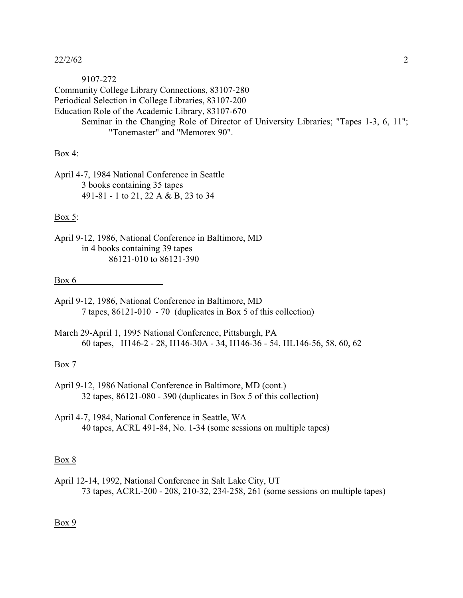## 22/2/62 2

9107-272 Community College Library Connections, 83107-280 Periodical Selection in College Libraries, 83107-200 Education Role of the Academic Library, 83107-670 Seminar in the Changing Role of Director of University Libraries; "Tapes 1-3, 6, 11"; "Tonemaster" and "Memorex 90".

## Box 4:

April 4-7, 1984 National Conference in Seattle 3 books containing 35 tapes 491-81 - 1 to 21, 22 A & B, 23 to 34

#### Box 5:

April 9-12, 1986, National Conference in Baltimore, MD in 4 books containing 39 tapes 86121-010 to 86121-390

#### Box 6

- April 9-12, 1986, National Conference in Baltimore, MD 7 tapes, 86121-010 - 70 (duplicates in Box 5 of this collection)
- March 29-April 1, 1995 National Conference, Pittsburgh, PA 60 tapes, H146-2 - 28, H146-30A - 34, H146-36 - 54, HL146-56, 58, 60, 62

#### Box 7

April 9-12, 1986 National Conference in Baltimore, MD (cont.) 32 tapes, 86121-080 - 390 (duplicates in Box 5 of this collection)

April 4-7, 1984, National Conference in Seattle, WA 40 tapes, ACRL 491-84, No. 1-34 (some sessions on multiple tapes)

#### Box 8

April 12-14, 1992, National Conference in Salt Lake City, UT 73 tapes, ACRL-200 - 208, 210-32, 234-258, 261 (some sessions on multiple tapes)

Box 9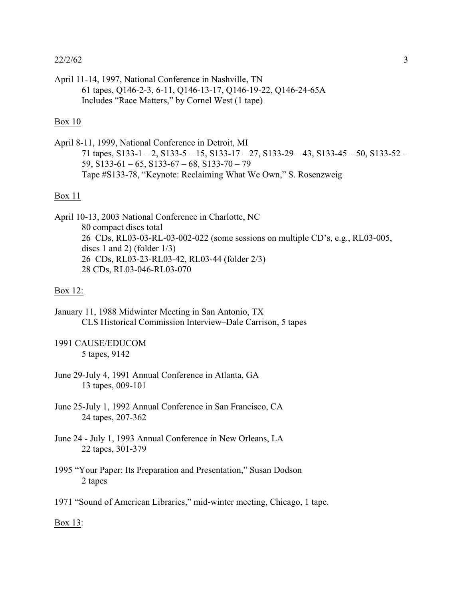## $22/2/62$  3

April 11-14, 1997, National Conference in Nashville, TN 61 tapes, Q146-2-3, 6-11, Q146-13-17, Q146-19-22, Q146-24-65A Includes "Race Matters," by Cornel West (1 tape)

# Box 10

April 8-11, 1999, National Conference in Detroit, MI 71 tapes,  $S133-1-2$ ,  $S133-5-15$ ,  $S133-17-27$ ,  $S133-29-43$ ,  $S133-45-50$ ,  $S133-52-$ 59,  $S133-61-65$ ,  $S133-67-68$ ,  $S133-70-79$ Tape #S133-78, "Keynote: Reclaiming What We Own," S. Rosenzweig

## Box 11

April 10-13, 2003 National Conference in Charlotte, NC 80 compact discs total 26 CDs, RL03-03-RL-03-002-022 (some sessions on multiple CD's, e.g., RL03-005, discs 1 and 2) (folder 1/3) 26 CDs, RL03-23-RL03-42, RL03-44 (folder 2/3) 28 CDs, RL03-046-RL03-070

# Box 12:

January 11, 1988 Midwinter Meeting in San Antonio, TX CLS Historical Commission Interview–Dale Carrison, 5 tapes

1991 CAUSE/EDUCOM 5 tapes, 9142

- June 29-July 4, 1991 Annual Conference in Atlanta, GA 13 tapes, 009-101
- June 25-July 1, 1992 Annual Conference in San Francisco, CA 24 tapes, 207-362
- June 24 July 1, 1993 Annual Conference in New Orleans, LA 22 tapes, 301-379
- 1995 "Your Paper: Its Preparation and Presentation," Susan Dodson 2 tapes
- 1971 "Sound of American Libraries," mid-winter meeting, Chicago, 1 tape.

Box 13: